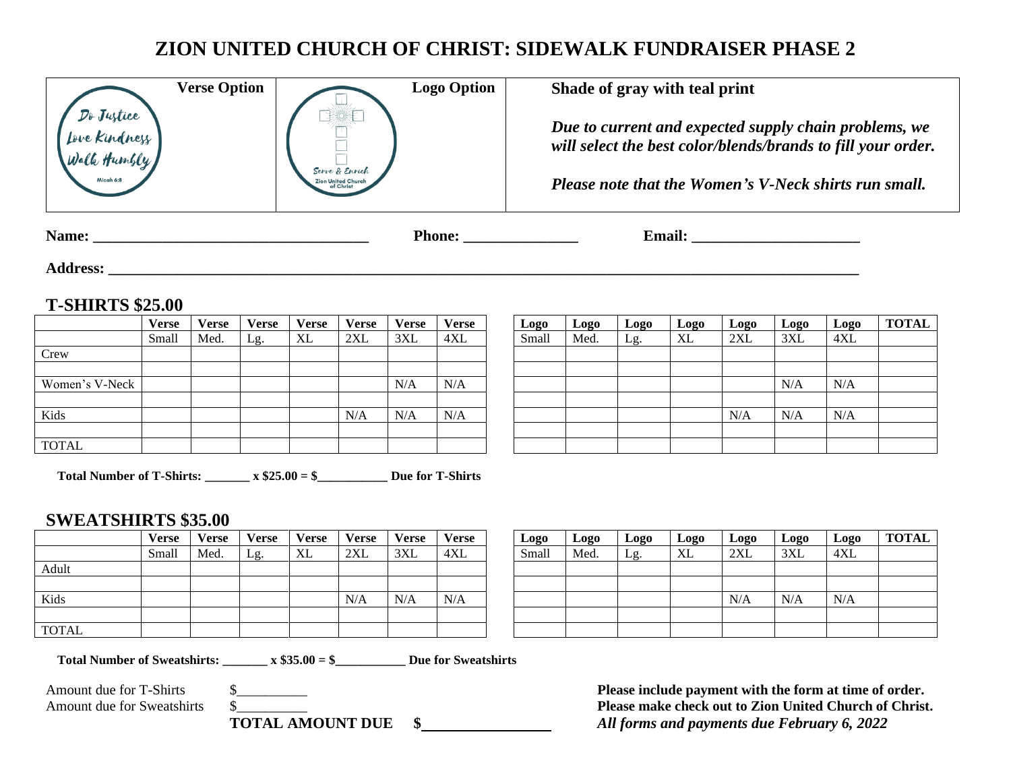## **ZION UNITED CHURCH OF CHRIST: SIDEWALK FUNDRAISER PHASE 2**

| Do Justice<br>Iove Kindness<br>Walk Humbly | <b>Verse Option</b> | Serve & Enrich<br>Zion United Churc<br>of Christ | <b>Logo Option</b> | Shade of gray with teal print<br>Due to current and expected supply chain problems, we<br>will select the best color/blends/brands to fill your order.<br>Please note that the Women's V-Neck shirts run small. |
|--------------------------------------------|---------------------|--------------------------------------------------|--------------------|-----------------------------------------------------------------------------------------------------------------------------------------------------------------------------------------------------------------|
| Name:                                      |                     |                                                  | <b>Phone:</b>      | <b>Email:</b>                                                                                                                                                                                                   |

**Address: \_\_\_\_\_\_\_\_\_\_\_\_\_\_\_\_\_\_\_\_\_\_\_\_\_\_\_\_\_\_\_\_\_\_\_\_\_\_\_\_\_\_\_\_\_\_\_\_\_\_\_\_\_\_\_\_\_\_\_\_\_\_\_\_\_\_\_\_\_\_\_\_\_\_\_\_\_\_\_\_\_\_\_\_\_\_\_\_\_\_\_\_\_\_\_\_\_\_**

## **T-SHIRTS \$25.00**

|                | <b>Verse</b> | <b>Verse</b> | <b>Verse</b> | <b>Verse</b> | <b>Verse</b> | <b>Verse</b> | <b>Verse</b> | Logo  | <b>Logo</b> | <b>Logo</b> | <b>Logo</b> | Logo | Logo | Log |
|----------------|--------------|--------------|--------------|--------------|--------------|--------------|--------------|-------|-------------|-------------|-------------|------|------|-----|
|                | Small        | Med.         | Lg.          | XL           | 2XL          | 3XL          | 4XL          | Small | Med.        | Lg.         | XL          | 2XL  | 3XL  | 4XI |
| Crew           |              |              |              |              |              |              |              |       |             |             |             |      |      |     |
|                |              |              |              |              |              |              |              |       |             |             |             |      |      |     |
| Women's V-Neck |              |              |              |              |              | N/A          | N/A          |       |             |             |             |      | N/A  | N/A |
|                |              |              |              |              |              |              |              |       |             |             |             |      |      |     |
| Kids           |              |              |              |              | N/A          | N/A          | N/A          |       |             |             |             | N/A  | N/A  | N/A |
|                |              |              |              |              |              |              |              |       |             |             |             |      |      |     |
| <b>TOTAL</b>   |              |              |              |              |              |              |              |       |             |             |             |      |      |     |

| <b>Verse</b><br><b>Verse</b><br><b>Verse</b><br><b>Verse</b><br><b>Verse</b><br><b>Verse</b><br>Logo<br><b>Logo</b><br>Logo<br>Logo<br><b>Logo</b><br><b>Logo</b><br>Small<br>2XL<br>XL<br>3XL<br>2XL<br>XL<br>3XL<br>4XL<br>Med.<br>Med.<br>Lg.<br>Lg.<br>N/A<br>N/A<br>N/A<br>N/A<br>N/A<br>N/A<br>N/A<br>N/A |              |  |  |  |
|-----------------------------------------------------------------------------------------------------------------------------------------------------------------------------------------------------------------------------------------------------------------------------------------------------------------|--------------|--|--|--|
|                                                                                                                                                                                                                                                                                                                 | <b>Verse</b> |  |  |  |
|                                                                                                                                                                                                                                                                                                                 | Small        |  |  |  |
|                                                                                                                                                                                                                                                                                                                 |              |  |  |  |
|                                                                                                                                                                                                                                                                                                                 |              |  |  |  |
|                                                                                                                                                                                                                                                                                                                 |              |  |  |  |
|                                                                                                                                                                                                                                                                                                                 |              |  |  |  |
|                                                                                                                                                                                                                                                                                                                 |              |  |  |  |
|                                                                                                                                                                                                                                                                                                                 |              |  |  |  |
|                                                                                                                                                                                                                                                                                                                 |              |  |  |  |

**Total Number of T-Shirts: \_\_\_\_\_\_\_ x \$25.00 = \$\_\_\_\_\_\_\_\_\_\_\_ Due for T-Shirts**

## **SWEATSHIRTS \$35.00**

|              | Verse | <b>Verse</b> | <b>Verse</b> | <b>Verse</b> | Verse | <b>Verse</b> | <b>Verse</b> | Logo  | Logo | <b>Logo</b> | Logo | Logo | Logo | Log |
|--------------|-------|--------------|--------------|--------------|-------|--------------|--------------|-------|------|-------------|------|------|------|-----|
|              | Small | Med.         | Lg.          | XL           | 2XL   | 3XL          | 4XL          | Small | Med. | Lg          | XL   | 2XL  | 3XL  | 4XI |
| Adult        |       |              |              |              |       |              |              |       |      |             |      |      |      |     |
|              |       |              |              |              |       |              |              |       |      |             |      |      |      |     |
| Kids         |       |              |              |              | N/A   | N/A          | N/A          |       |      |             |      | N/A  | N/A  | N/A |
|              |       |              |              |              |       |              |              |       |      |             |      |      |      |     |
| <b>TOTAL</b> |       |              |              |              |       |              |              |       |      |             |      |      |      |     |

| Verse | Verse | Verse | <b>Verse</b> | <b>Verse</b> | Verse | <b>Verse</b> | Logo  | Logo | Logo | Logo | Logo | Logo | Logo            | <b>TOTAL</b> |
|-------|-------|-------|--------------|--------------|-------|--------------|-------|------|------|------|------|------|-----------------|--------------|
| Small | Med.  | Lg.   | XL           | 2XL          | 3XL   | 4XL          | Small | Med. | Lg.  | XL   | 2XL  | 3XL  | 4X <sub>L</sub> |              |
|       |       |       |              |              |       |              |       |      |      |      |      |      |                 |              |
|       |       |       |              |              |       |              |       |      |      |      |      |      |                 |              |
|       |       |       |              | N/A          | N/A   | N/A          |       |      |      |      | N/A  | N/A  | N/A             |              |
|       |       |       |              |              |       |              |       |      |      |      |      |      |                 |              |
|       |       |       |              |              |       |              |       |      |      |      |      |      |                 |              |

**Total Number of Sweatshirts: \_\_\_\_\_\_\_ x \$35.00 = \$\_\_\_\_\_\_\_\_\_\_\_ Due for Sweatshirts**

Amount due for T-Shirts  $\frac{1}{2}$  **Please include payment with the form at time of order.**<br>Amount due for Sweatshirts  $\frac{1}{2}$  **Please make check out to Zion United Church of Christ** Amount due for Sweatshirts  $\sim$  \$ **TOTAL AMOUNT DUE \$** *All forms and payments due February 6, 2022*